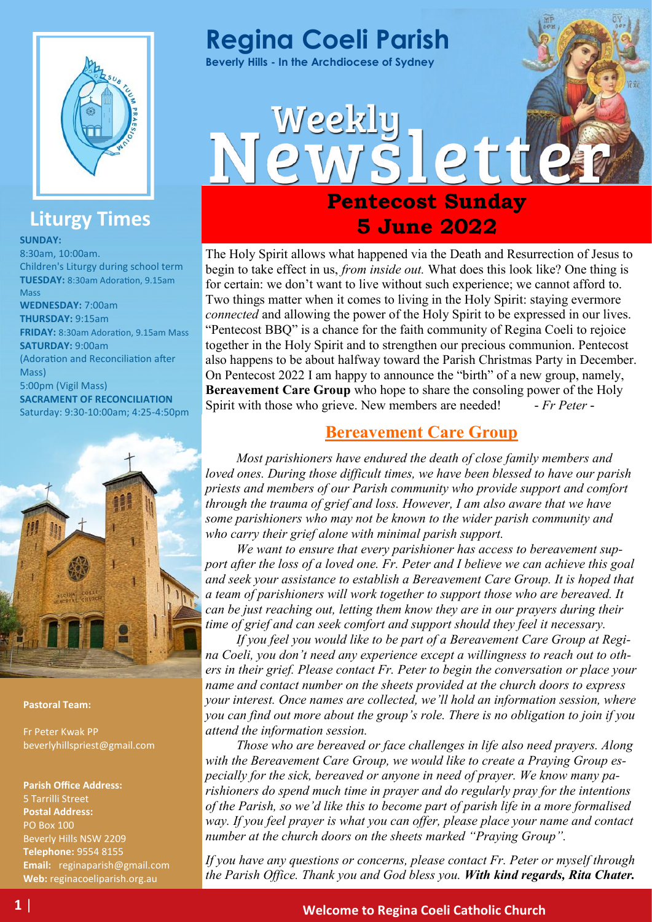

## **Liturgy Times**

**SUNDAY:**

8:30am, 10:00am. Children's Liturgy during school term **TUESDAY:** 8:30am Adoration, 9.15am Mass **WEDNESDAY:** 7:00am **THURSDAY:** 9:15am **FRIDAY:** 8:30am Adoration, 9.15am Mass **SATURDAY:** 9:00am (Adoration and Reconciliation after Mass) 5:00pm (Vigil Mass) **SACRAMENT OF RECONCILIATION**  Saturday: 9:30-10:00am; 4:25-4:50pm



#### **Pastoral Team:**

Fr Peter Kwak PP beverlyhillspriest@gmail.com

**Parish Office Address:** 5 Tarrilli Street **Postal Address:** PO Box 100 Beverly Hills NSW 2209 **Telephone:** 9554 8155 **Email:** reginaparish@gmail.com **Web:** reginacoeliparish.org.au

# **Regina Coeli Parish**

Weekly

**Beverly Hills - In the Archdiocese of Sydney**

## **Pentecost Sunday 5 June 2022**

ette

The Holy Spirit allows what happened via the Death and Resurrection of Jesus to begin to take effect in us, *from inside out.* What does this look like? One thing is for certain: we don't want to live without such experience; we cannot afford to. Two things matter when it comes to living in the Holy Spirit: staying evermore *connected* and allowing the power of the Holy Spirit to be expressed in our lives. "Pentecost BBQ" is a chance for the faith community of Regina Coeli to rejoice together in the Holy Spirit and to strengthen our precious communion. Pentecost also happens to be about halfway toward the Parish Christmas Party in December. On Pentecost 2022 I am happy to announce the "birth" of a new group, namely, **Bereavement Care Group** who hope to share the consoling power of the Holy Spirit with those who grieve. New members are needed! *- Fr Peter -*

## **Bereavement Care Group**

*Most parishioners have endured the death of close family members and loved ones. During those difficult times, we have been blessed to have our parish priests and members of our Parish community who provide support and comfort through the trauma of grief and loss. However, I am also aware that we have some parishioners who may not be known to the wider parish community and who carry their grief alone with minimal parish support.* 

*We want to ensure that every parishioner has access to bereavement support after the loss of a loved one. Fr. Peter and I believe we can achieve this goal and seek your assistance to establish a Bereavement Care Group. It is hoped that a team of parishioners will work together to support those who are bereaved. It can be just reaching out, letting them know they are in our prayers during their time of grief and can seek comfort and support should they feel it necessary.*

*If you feel you would like to be part of a Bereavement Care Group at Regina Coeli, you don't need any experience except a willingness to reach out to others in their grief. Please contact Fr. Peter to begin the conversation or place your name and contact number on the sheets provided at the church doors to express your interest. Once names are collected, we'll hold an information session, where you can find out more about the group's role. There is no obligation to join if you attend the information session.*

*Those who are bereaved or face challenges in life also need prayers. Along with the Bereavement Care Group, we would like to create a Praying Group especially for the sick, bereaved or anyone in need of prayer. We know many parishioners do spend much time in prayer and do regularly pray for the intentions of the Parish, so we'd like this to become part of parish life in a more formalised way. If you feel prayer is what you can offer, please place your name and contact number at the church doors on the sheets marked "Praying Group".*

*If you have any questions or concerns, please contact Fr. Peter or myself through the Parish Office. Thank you and God bless you. With kind regards, Rita Chater.*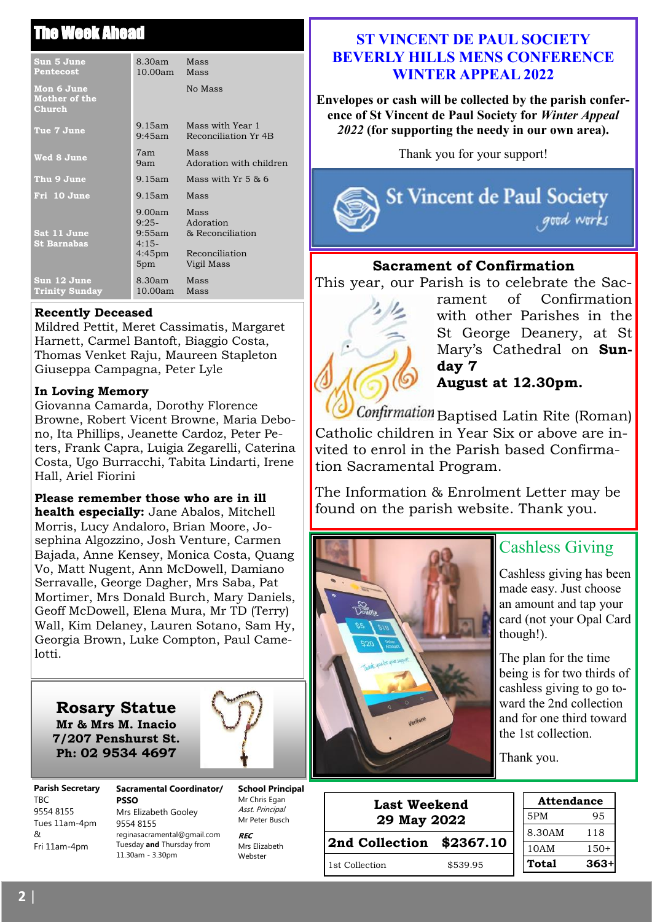## The Week Ahead

| Sun 5 June<br><b>Pentecost</b>               | 8.30am<br>10.00am Mass                                                           | Mass                                                                  |
|----------------------------------------------|----------------------------------------------------------------------------------|-----------------------------------------------------------------------|
| Mon 6 June<br><b>Mother of the</b><br>Church |                                                                                  | No Mass                                                               |
| Tue 7 June                                   | 9.15am<br>$9:45$ am                                                              | Mass with Year 1<br>Reconciliation Yr 4B                              |
| Wed 8 June                                   | 7am —<br>9am l                                                                   | Mass<br>Adoration with children                                       |
| Thu 9 June                                   | 9.15am                                                                           | Mass with $Yr_5$ & 6                                                  |
| Fri 10 June                                  | $9.15$ am                                                                        | Mass                                                                  |
| Sat 11 June<br><b>St Barnabas</b>            | $9.00$ am<br>$9:25-$<br>9:55am<br>$4:15-$<br>$4:45 \text{pm}$<br>5 <sub>pm</sub> | Mass<br>Adoration<br>& Reconciliation<br>Reconciliation<br>Vigil Mass |
| Sun 12 June<br><b>Trinity Sunday</b>         | 8.30am Mass<br>$10.00$ am                                                        | Mass                                                                  |

#### **Recently Deceased**

Mildred Pettit, Meret Cassimatis, Margaret Harnett, Carmel Bantoft, Biaggio Costa, Thomas Venket Raju, Maureen Stapleton Giuseppa Campagna, Peter Lyle

#### **In Loving Memory**

Giovanna Camarda, Dorothy Florence Browne, Robert Vicent Browne, Maria Debono, Ita Phillips, Jeanette Cardoz, Peter Peters, Frank Capra, Luigia Zegarelli, Caterina Costa, Ugo Burracchi, Tabita Lindarti, Irene Hall, Ariel Fiorini

## **Please remember those who are in ill**

**health especially:** Jane Abalos, Mitchell Morris, Lucy Andaloro, Brian Moore, Josephina Algozzino, Josh Venture, Carmen Bajada, Anne Kensey, Monica Costa, Quang Vo, Matt Nugent, Ann McDowell, Damiano Serravalle, George Dagher, Mrs Saba, Pat Mortimer, Mrs Donald Burch, Mary Daniels, Geoff McDowell, Elena Mura, Mr TD (Terry) Wall, Kim Delaney, Lauren Sotano, Sam Hy, Georgia Brown, Luke Compton, Paul Camelotti.

**Rosary Statue Mr & Mrs M. Inacio 7/207 Penshurst St. Ph: 02 9534 4697**



**Parish Secretary**  TBC 9554 8155 Tues 11am-4pm  $\mathcal{R}$ Fri 11am-4pm

**Sacramental Coordinator/ PSSO** Mrs Elizabeth Gooley 9554 8155 reginasacramental@gmail.com Tuesday **and** Thursday from 11.30am - 3.30pm

**School Principal**  Mr Chris Egan Asst. Principal Mr Peter Busch

**REC** Mrs Elizabeth Webster

## **ST VINCENT DE PAUL SOCIETY BEVERLY HILLS MENS CONFERENCE WINTER APPEAL 2022**

**Envelopes or cash will be collected by the parish conference of St Vincent de Paul Society for** *Winter Appeal 2022* **(for supporting the needy in our own area).** 

Thank you for your support!



## **Sacrament of Confirmation**

This year, our Parish is to celebrate the Sac-



rament of Confirmation with other Parishes in the St George Deanery, at St Mary's Cathedral on **Sunday 7 August at 12.30pm.** 

Confirmation Baptised Latin Rite (Roman) Catholic children in Year Six or above are invited to enrol in the Parish based Confirmation Sacramental Program.

The Information & Enrolment Letter may be found on the parish website. Thank you.



## Cashless Giving

Cashless giving has been made easy. Just choose an amount and tap your card (not your Opal Card though!).

The plan for the time being is for two thirds of cashless giving to go toward the 2nd collection and for one third toward the 1st collection.

Thank you.

| <b>Last Weekend</b><br>29 May 2022 |          | <b>Attendance</b> |        |
|------------------------------------|----------|-------------------|--------|
|                                    |          | 5PM               | 95     |
|                                    |          | 8.30AM            | 118    |
| 2nd Collection \$2367.10           |          | 10AM              | 150+   |
| 1st Collection                     | \$539.95 | Total             | $363+$ |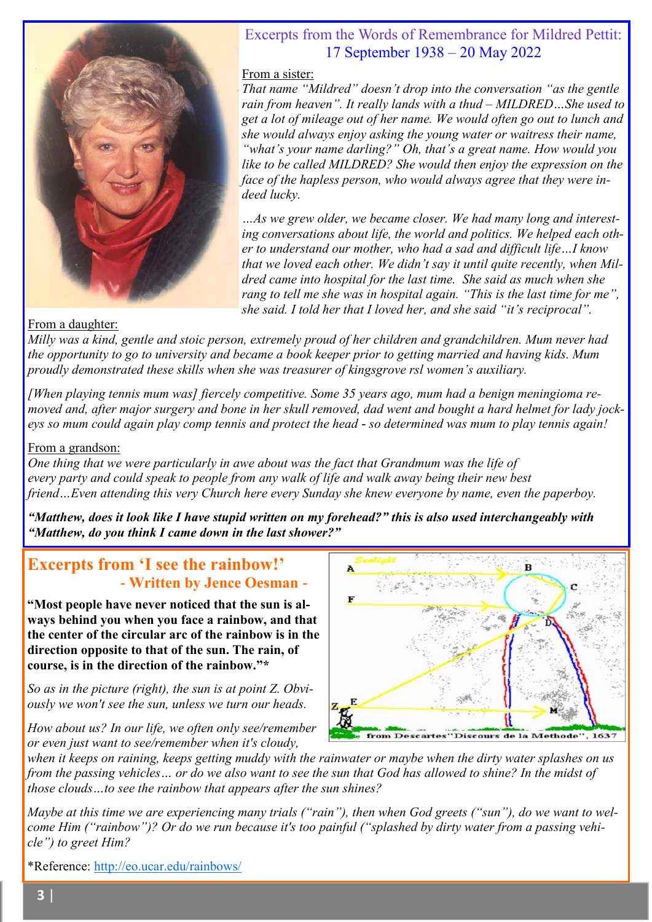

## Excerpts from the Words of Remembrance for Mildred Pettit: 17 September 1938 – 20 May 2022

#### From a sister:

*That name "Mildred" doesn't drop into the conversation "as the gentle rain from heaven". It really lands with a thud – MILDRED…She used to get a lot of mileage out of her name. We would often go out to lunch and she would always enjoy asking the young water or waitress their name, "what's your name darling?" Oh, that's a great name. How would you like to be called MILDRED? She would then enjoy the expression on the face of the hapless person, who would always agree that they were indeed lucky.*

*…As we grew older, we became closer. We had many long and interesting conversations about life, the world and politics. We helped each other to understand our mother, who had a sad and difficult life…I know that we loved each other. We didn't say it until quite recently, when Mildred came into hospital for the last time. She said as much when she rang to tell me she was in hospital again. "This is the last time for me", she said. I told her that I loved her, and she said "it's reciprocal".*

## From a daughter:

*Milly was a kind, gentle and stoic person, extremely proud of her children and grandchildren. Mum never had the opportunity to go to university and became a book keeper prior to getting married and having kids. Mum proudly demonstrated these skills when she was treasurer of kingsgrove rsl women's auxiliary.*

*[When playing tennis mum was] fiercely competitive. Some 35 years ago, mum had a benign meningioma removed and, after major surgery and bone in her skull removed, dad went and bought a hard helmet for lady jockeys so mum could again play comp tennis and protect the head - so determined was mum to play tennis again!*

## From a grandson:

*One thing that we were particularly in awe about was the fact that Grandmum was the life of every party and could speak to people from any walk of life and walk away being their new best friend…Even attending this very Church here every Sunday she knew everyone by name, even the paperboy.*

*"Matthew, does it look like I have stupid written on my forehead?" this is also used interchangeably with "Matthew, do you think I came down in the last shower?"*

## **Excerpts from 'I see the rainbow!' - Written by Jence Oesman -**

**"Most people have never noticed that the sun is always behind you when you face a rainbow, and that the center of the circular arc of the rainbow is in the direction opposite to that of the sun. The rain, of course, is in the direction of the rainbow."\***

*So as in the picture (right), the sun is at point Z. Obviously we won't see the sun, unless we turn our heads.*

*How about us? In our life, we often only see/remember or even just want to see/remember when it's cloudy,* 



*when it keeps on raining, keeps getting muddy with the rainwater or maybe when the dirty water splashes on us from the passing vehicles… or do we also want to see the sun that God has allowed to shine? In the midst of those clouds…to see the rainbow that appears after the sun shines?*

*Maybe at this time we are experiencing many trials ("rain"), then when God greets ("sun"), do we want to welcome Him ("rainbow")? Or do we run because it's too painful ("splashed by dirty water from a passing vehicle") to greet Him?* 

\*Reference: <http://eo.ucar.edu/rainbows/>